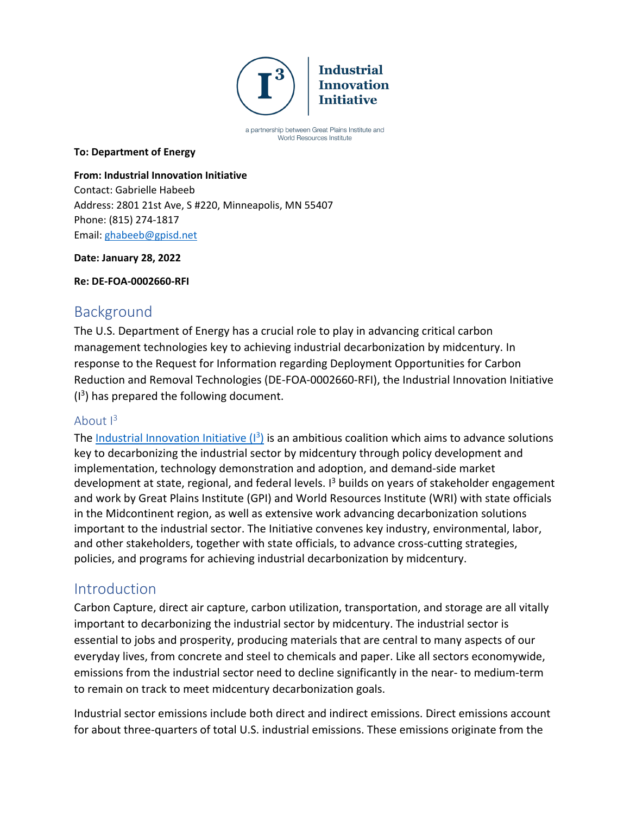

a partnership between Great Plains Institute and World Resources Institute

#### **To: Department of Energy**

#### **From: Industrial Innovation Initiative**

Contact: Gabrielle Habeeb Address: 2801 21st Ave, S #220, Minneapolis, MN 55407 Phone: (815) 274-1817 Email: [ghabeeb@gpisd.net](mailto:ghabeeb@gpisd.net)

#### **Date: January 28, 2022**

#### **Re: DE-FOA-0002660-RFI**

### Background

The U.S. Department of Energy has a crucial role to play in advancing critical carbon management technologies key to achieving industrial decarbonization by midcentury. In response to the Request for Information regarding Deployment Opportunities for Carbon Reduction and Removal Technologies (DE-FOA-0002660-RFI), the Industrial Innovation Initiative ( $1<sup>3</sup>$ ) has prepared the following document.

### About  $I^3$

The Industrial Innovation Initiative  $(1^3)$  is an ambitious coalition which aims to advance solutions key to decarbonizing the industrial sector by midcentury through policy development and implementation, technology demonstration and adoption, and demand-side market development at state, regional, and federal levels.  $I<sup>3</sup>$  builds on years of stakeholder engagement and work by Great Plains Institute (GPI) and World Resources Institute (WRI) with state officials in the Midcontinent region, as well as extensive work advancing decarbonization solutions important to the industrial sector. The Initiative convenes key industry, environmental, labor, and other stakeholders, together with state officials, to advance cross-cutting strategies, policies, and programs for achieving industrial decarbonization by midcentury.

### Introduction

Carbon Capture, direct air capture, carbon utilization, transportation, and storage are all vitally important to decarbonizing the industrial sector by midcentury. The industrial sector is essential to jobs and prosperity, producing materials that are central to many aspects of our everyday lives, from concrete and steel to chemicals and paper. Like all sectors economywide, emissions from the industrial sector need to decline significantly in the near- to medium-term to remain on track to meet midcentury decarbonization goals.

Industrial sector emissions include both direct and indirect emissions. Direct emissions account for about three-quarters of total U.S. industrial emissions. These emissions originate from the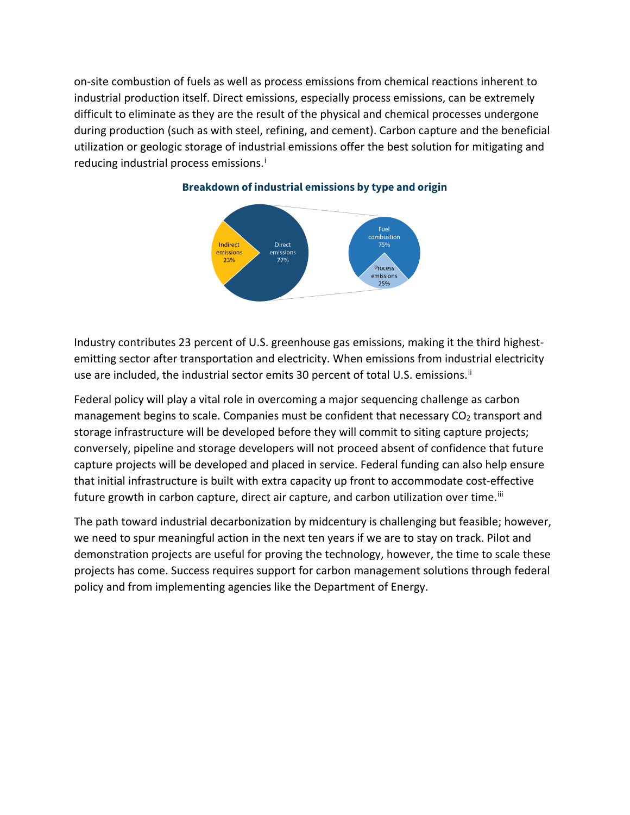on-site combustion of fuels as well as process emissions from chemical reactions inherent to industrial production itself. Direct emissions, especially process emissions, can be extremely difficult to eliminate as they are the result of the physical and chemical processes undergone during production (such as with steel, refining, and cement). Carbon capture and the beneficial utilization or geologic storage of industrial emissions offer the best solution for mitigating and reduc[i](#page-10-0)ng industrial process emissions.<sup>i</sup>



#### **Breakdown of industrial emissions by type and origin**

Industry contributes 23 percent of U.S. greenhouse gas emissions, making it the third highestemitting sector after transportation and electricity. When emissions from industrial electricity use are included, the industrial sector emits 30 percent of total U.S. emissions.<sup>[ii](#page-10-1)</sup>

Federal policy will play a vital role in overcoming a major sequencing challenge as carbon management begins to scale. Companies must be confident that necessary  $CO<sub>2</sub>$  transport and storage infrastructure will be developed before they will commit to siting capture projects; conversely, pipeline and storage developers will not proceed absent of confidence that future capture projects will be developed and placed in service. Federal funding can also help ensure that initial infrastructure is built with extra capacity up front to accommodate cost-effective future growth in carbon capture, direct air capture, and carbon utilization over time. $\mathbb{I}$ 

The path toward industrial decarbonization by midcentury is challenging but feasible; however, we need to spur meaningful action in the next ten years if we are to stay on track. Pilot and demonstration projects are useful for proving the technology, however, the time to scale these projects has come. Success requires support for carbon management solutions through federal policy and from implementing agencies like the Department of Energy.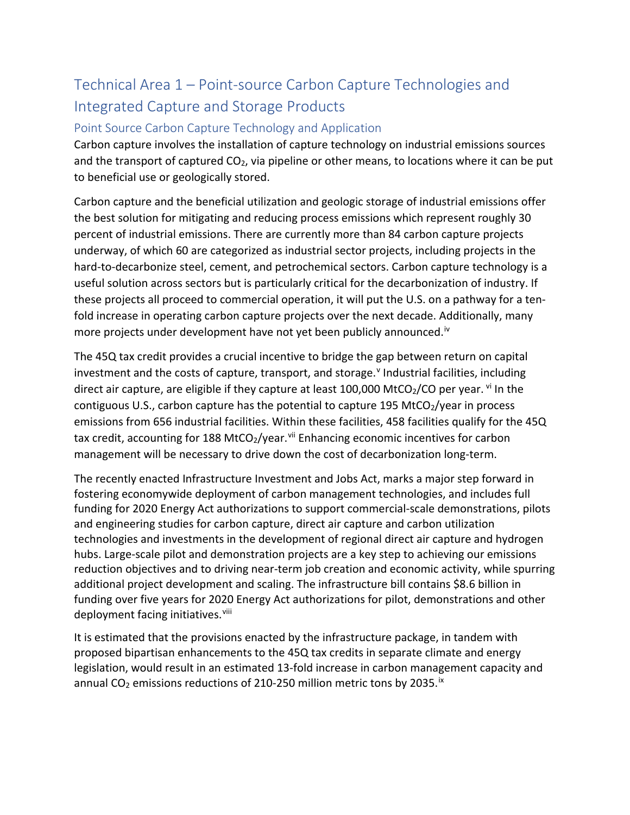## Technical Area 1 – Point-source Carbon Capture Technologies and Integrated Capture and Storage Products

### Point Source Carbon Capture Technology and Application

Carbon capture involves the installation of capture technology on industrial emissions sources and the transport of captured  $CO<sub>2</sub>$ , via pipeline or other means, to locations where it can be put to beneficial use or geologically stored.

Carbon capture and the beneficial utilization and geologic storage of industrial emissions offer the best solution for mitigating and reducing process emissions which represent roughly 30 percent of industrial emissions. There are currently more than 84 carbon capture projects underway, of which 60 are categorized as industrial sector projects, including projects in the hard-to-decarbonize steel, cement, and petrochemical sectors. Carbon capture technology is a useful solution across sectors but is particularly critical for the decarbonization of industry. If these projects all proceed to commercial operation, it will put the U.S. on a pathway for a tenfold increase in operating carbon capture projects over the next decade. Additionally, many more projects under development have not yet been publicly announced.<sup>[iv](#page-10-3)</sup>

The 45Q tax credit provides a crucial incentive to bridge the gap between return on capital in[v](#page-10-4)estment and the costs of capture, transport, and storage.<sup>v</sup> Industrial facilities, including direct air capture, are eligible if they capture at least 100,000 MtCO $_2$ /CO per year. [vi](#page-10-5) In the contiguous U.S., carbon capture has the potential to capture 195 MtCO $_2$ /year in process emissions from 656 industrial facilities. Within these facilities, 458 facilities qualify for the 45Q tax credit, accounting for 188 MtCO<sub>2</sub>/year.<sup>[vii](#page-10-6)</sup> Enhancing economic incentives for carbon management will be necessary to drive down the cost of decarbonization long-term.

The recently enacted Infrastructure Investment and Jobs Act, marks a major step forward in fostering economywide deployment of carbon management technologies, and includes full funding for 2020 Energy Act authorizations to support commercial-scale demonstrations, pilots and engineering studies for carbon capture, direct air capture and carbon utilization technologies and investments in the development of regional direct air capture and hydrogen hubs. Large-scale pilot and demonstration projects are a key step to achieving our emissions reduction objectives and to driving near-term job creation and economic activity, while spurring additional project development and scaling. The infrastructure bill contains \$8.6 billion in funding over five years for 2020 Energy Act authorizations for pilot, demonstrations and other deployment facing initiatives.<sup>[viii](#page-10-7)</sup>

It is estimated that the provisions enacted by the infrastructure package, in tandem with proposed bipartisan enhancements to the 45Q tax credits in separate climate and energy legislation, would result in an estimated 13-fold increase in carbon management capacity and annual CO<sub>2</sub> emissions reductions of 210-250 million metric tons by 2035.<sup>[ix](#page-10-8)</sup>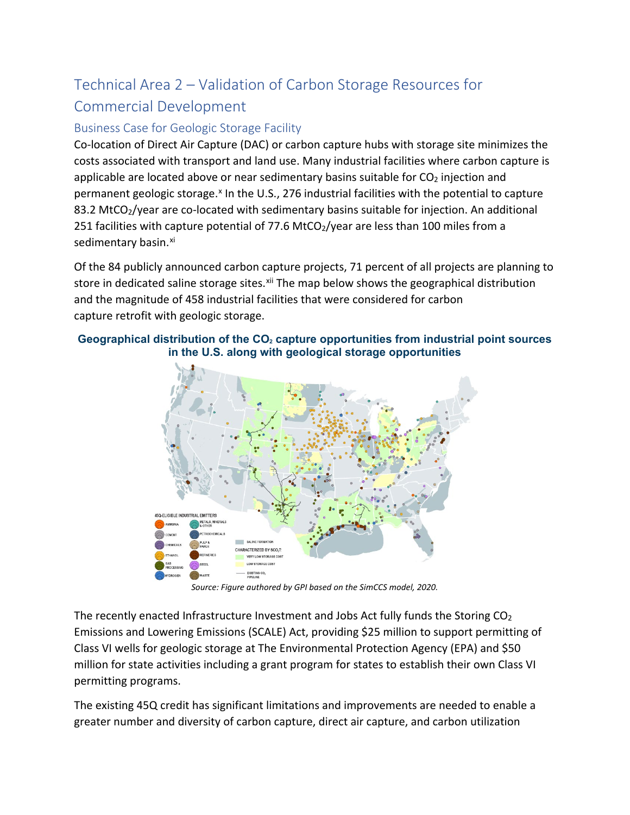# Technical Area 2 – Validation of Carbon Storage Resources for Commercial Development

### Business Case for Geologic Storage Facility

Co-location of Direct Air Capture (DAC) or carbon capture hubs with storage site minimizes the costs associated with transport and land use. Many industrial facilities where carbon capture is applicable are located above or near sedimentary basins suitable for  $CO<sub>2</sub>$  injection and permanent geologic storage.<sup>x</sup> In the U.S., 276 industrial facilities with the potential to capture 83.2 MtCO<sub>2</sub>/year are co-located with sedimentary basins suitable for injection. An additional 251 facilities with capture potential of 77.6 MtCO $_2$ /year are less than 100 miles from a sedimentary basin.<sup>[xi](#page-10-10)</sup>

Of the 84 publicly announced carbon capture projects, 71 percent of all projects are planning to store in dedicated saline storage sites.<sup>[xii](#page-10-11)</sup> The map below shows the geographical distribution and the magnitude of 458 industrial facilities that were considered for carbon capture retrofit with geologic storage.

#### Geographical distribution of the CO<sub>2</sub> capture opportunities from industrial point sources **in the U.S. along with geological storage opportunities**



*Source: Figure authored by GPI based on the SimCCS model, 2020.*

The recently enacted Infrastructure Investment and Jobs Act fully funds the Storing  $CO<sub>2</sub>$ Emissions and Lowering Emissions (SCALE) Act, providing \$25 million to support permitting of Class VI wells for geologic storage at The Environmental Protection Agency (EPA) and \$50 million for state activities including a grant program for states to establish their own Class VI permitting programs.

The existing 45Q credit has significant limitations and improvements are needed to enable a greater number and diversity of carbon capture, direct air capture, and carbon utilization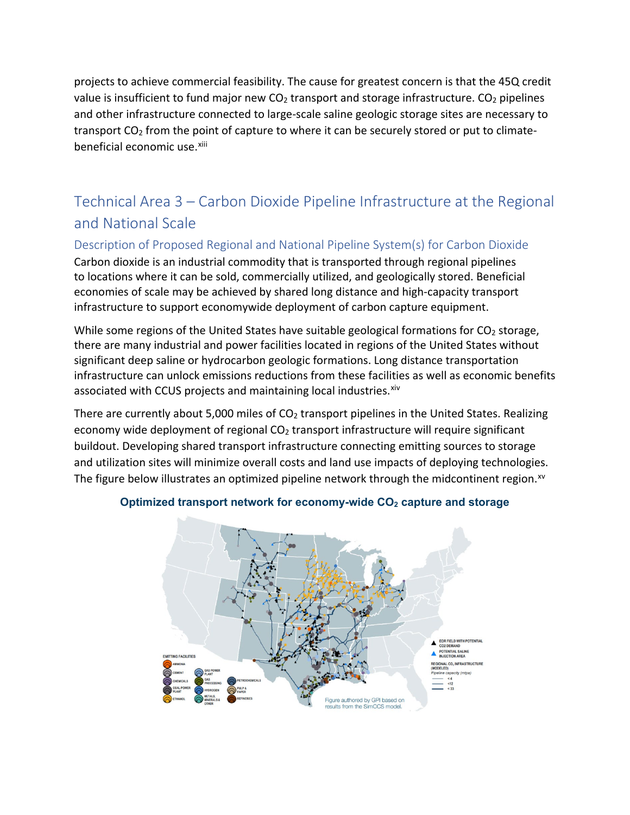projects to achieve commercial feasibility. The cause for greatest concern is that the 45Q credit value is insufficient to fund major new  $CO<sub>2</sub>$  transport and storage infrastructure.  $CO<sub>2</sub>$  pipelines and other infrastructure connected to large-scale saline geologic storage sites are necessary to transport  $CO<sub>2</sub>$  from the point of capture to where it can be securely stored or put to climatebeneficial economic use.[xiii](#page-10-12)

## Technical Area 3 – Carbon Dioxide Pipeline Infrastructure at the Regional and National Scale

Description of Proposed Regional and National Pipeline System(s) for Carbon Dioxide Carbon dioxide is an industrial commodity that is transported through regional pipelines to locations where it can be sold, commercially utilized, and geologically stored. Beneficial economies of scale may be achieved by shared long distance and high-capacity transport infrastructure to support economywide deployment of carbon capture equipment.

While some regions of the United States have suitable geological formations for  $CO<sub>2</sub>$  storage, there are many industrial and power facilities located in regions of the United States without significant deep saline or hydrocarbon geologic formations. Long distance transportation infrastructure can unlock emissions reductions from these facilities as well as economic benefits associated with CCUS projects and maintaining local industries. [xiv](#page-10-13)

There are currently about 5,000 miles of  $CO<sub>2</sub>$  transport pipelines in the United States. Realizing economy wide deployment of regional  $CO<sub>2</sub>$  transport infrastructure will require significant buildout. Developing shared transport infrastructure connecting emitting sources to storage and utilization sites will minimize overall costs and land use impacts of deploying technologies. The figure below illustrates an optimized pipeline network through the midcontinent region.<sup>[xv](#page-11-0)</sup>



#### **Optimized transport network for economy-wide CO2 capture and storage**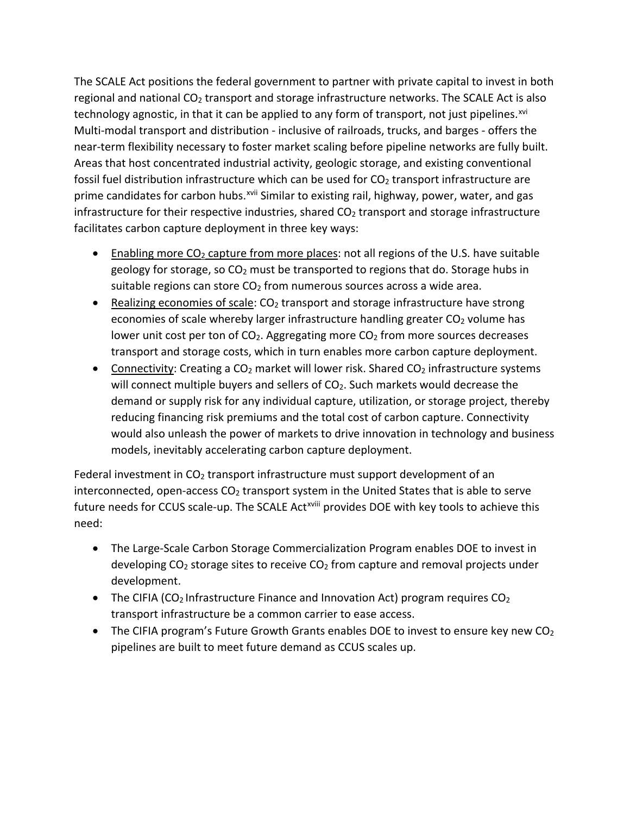The SCALE Act positions the federal government to partner with private capital to invest in both regional and national  $CO<sub>2</sub>$  transport and storage infrastructure networks. The SCALE Act is also technology agnostic, in that it can be applied to any form of transport, not just pipelines.<sup>[xvi](#page-11-1)</sup> Multi-modal transport and distribution - inclusive of railroads, trucks, and barges - offers the near-term flexibility necessary to foster market scaling before pipeline networks are fully built. Areas that host concentrated industrial activity, geologic storage, and existing conventional fossil fuel distribution infrastructure which can be used for  $CO<sub>2</sub>$  transport infrastructure are prime candidates for carbon hubs.<sup>[xvii](#page-11-2)</sup> Similar to existing rail, highway, power, water, and gas infrastructure for their respective industries, shared  $CO<sub>2</sub>$  transport and storage infrastructure facilitates carbon capture deployment in three key ways:

- **•** Enabling more  $CO_2$  capture from more places: not all regions of the U.S. have suitable geology for storage, so  $CO<sub>2</sub>$  must be transported to regions that do. Storage hubs in suitable regions can store  $CO<sub>2</sub>$  from numerous sources across a wide area.
- Realizing economies of scale:  $CO<sub>2</sub>$  transport and storage infrastructure have strong economies of scale whereby larger infrastructure handling greater  $CO<sub>2</sub>$  volume has lower unit cost per ton of  $CO<sub>2</sub>$ . Aggregating more  $CO<sub>2</sub>$  from more sources decreases transport and storage costs, which in turn enables more carbon capture deployment.
- Connectivity: Creating a  $CO<sub>2</sub>$  market will lower risk. Shared  $CO<sub>2</sub>$  infrastructure systems will connect multiple buyers and sellers of CO<sub>2</sub>. Such markets would decrease the demand or supply risk for any individual capture, utilization, or storage project, thereby reducing financing risk premiums and the total cost of carbon capture. Connectivity would also unleash the power of markets to drive innovation in technology and business models, inevitably accelerating carbon capture deployment.

Federal investment in  $CO<sub>2</sub>$  transport infrastructure must support development of an interconnected, open-access  $CO<sub>2</sub>$  transport system in the United States that is able to serve future needs for CCUS scale-up. The SCALE Act<sup>xviii</sup> provides DOE with key tools to achieve this need:

- The Large-Scale Carbon Storage Commercialization Program enables DOE to invest in developing  $CO<sub>2</sub>$  storage sites to receive  $CO<sub>2</sub>$  from capture and removal projects under development.
- The CIFIA (CO<sub>2</sub> Infrastructure Finance and Innovation Act) program requires  $CO<sub>2</sub>$ transport infrastructure be a common carrier to ease access.
- The CIFIA program's Future Growth Grants enables DOE to invest to ensure key new  $CO<sub>2</sub>$ pipelines are built to meet future demand as CCUS scales up.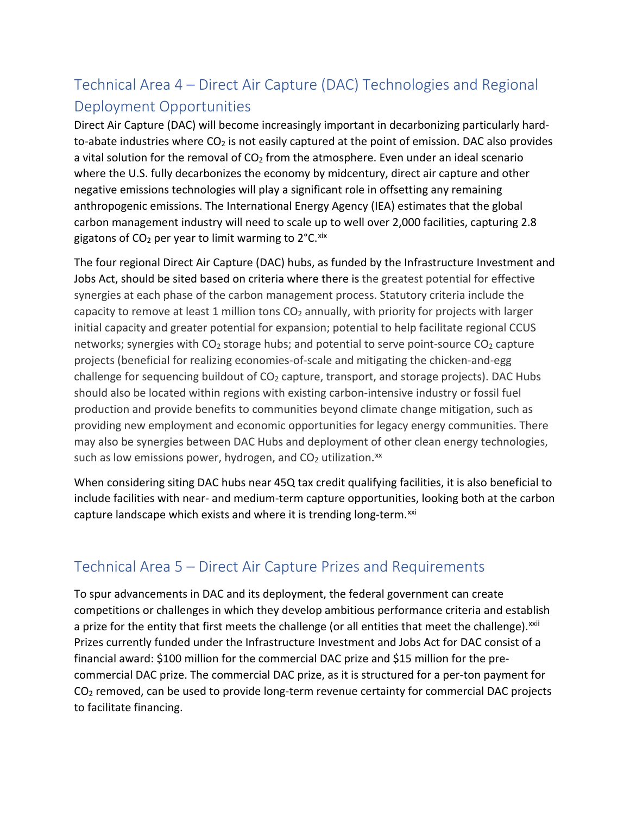# Technical Area 4 – Direct Air Capture (DAC) Technologies and Regional Deployment Opportunities

Direct Air Capture (DAC) will become increasingly important in decarbonizing particularly hardto-abate industries where  $CO<sub>2</sub>$  is not easily captured at the point of emission. DAC also provides a vital solution for the removal of  $CO<sub>2</sub>$  from the atmosphere. Even under an ideal scenario where the U.S. fully decarbonizes the economy by midcentury, direct air capture and other negative emissions technologies will play a significant role in offsetting any remaining anthropogenic emissions. The International Energy Agency (IEA) estimates that the global carbon management industry will need to scale up to well over 2,000 facilities, capturing 2.8 gigatons of  $CO<sub>2</sub>$  per year to limit warming to  $2^{\circ}$ C. [xix](#page-11-3)

The four regional Direct Air Capture (DAC) hubs, as funded by the Infrastructure Investment and Jobs Act, should be sited based on criteria where there is the greatest potential for effective synergies at each phase of the carbon management process. Statutory criteria include the capacity to remove at least 1 million tons  $CO<sub>2</sub>$  annually, with priority for projects with larger initial capacity and greater potential for expansion; potential to help facilitate regional CCUS networks; synergies with  $CO<sub>2</sub>$  storage hubs; and potential to serve point-source  $CO<sub>2</sub>$  capture projects (beneficial for realizing economies-of-scale and mitigating the chicken-and-egg challenge for sequencing buildout of  $CO<sub>2</sub>$  capture, transport, and storage projects). DAC Hubs should also be located within regions with existing carbon-intensive industry or fossil fuel production and provide benefits to communities beyond climate change mitigation, such as providing new employment and economic opportunities for legacy energy communities. There may also be synergies between DAC Hubs and deployment of other clean energy technologies, such as low emissions power, hydrogen, and  $CO<sub>2</sub>$  utilization.<sup>[xx](#page-11-4)</sup>

When considering siting DAC hubs near 45Q tax credit qualifying facilities, it is also beneficial to include facilities with near- and medium-term capture opportunities, looking both at the carbon capture landscape which exists and where it is trending long-term.<sup>[xxi](#page-11-5)</sup>

## Technical Area 5 – Direct Air Capture Prizes and Requirements

To spur advancements in DAC and its deployment, the federal government can create competitions or challenges in which they develop ambitious performance criteria and establish a prize for the entity that first meets the challenge (or all entities that meet the challenge).<sup>[xxii](#page-11-6)</sup> Prizes currently funded under the Infrastructure Investment and Jobs Act for DAC consist of a financial award: \$100 million for the commercial DAC prize and \$15 million for the precommercial DAC prize. The commercial DAC prize, as it is structured for a per-ton payment for  $CO<sub>2</sub>$  removed, can be used to provide long-term revenue certainty for commercial DAC projects to facilitate financing.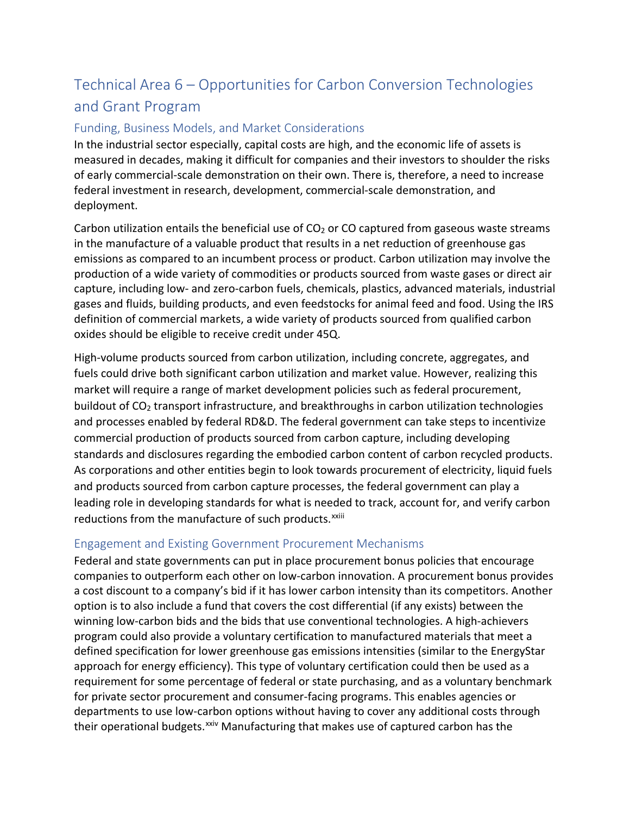## Technical Area 6 – Opportunities for Carbon Conversion Technologies and Grant Program

### Funding, Business Models, and Market Considerations

In the industrial sector especially, capital costs are high, and the economic life of assets is measured in decades, making it difficult for companies and their investors to shoulder the risks of early commercial-scale demonstration on their own. There is, therefore, a need to increase federal investment in research, development, commercial-scale demonstration, and deployment.

Carbon utilization entails the beneficial use of  $CO<sub>2</sub>$  or CO captured from gaseous waste streams in the manufacture of a valuable product that results in a net reduction of greenhouse gas emissions as compared to an incumbent process or product. Carbon utilization may involve the production of a wide variety of commodities or products sourced from waste gases or direct air capture, including low- and zero-carbon fuels, chemicals, plastics, advanced materials, industrial gases and fluids, building products, and even feedstocks for animal feed and food. Using the IRS definition of commercial markets, a wide variety of products sourced from qualified carbon oxides should be eligible to receive credit under 45Q.

High-volume products sourced from carbon utilization, including concrete, aggregates, and fuels could drive both significant carbon utilization and market value. However, realizing this market will require a range of market development policies such as federal procurement, buildout of CO2 transport infrastructure, and breakthroughs in carbon utilization technologies and processes enabled by federal RD&D. The federal government can take steps to incentivize commercial production of products sourced from carbon capture, including developing standards and disclosures regarding the embodied carbon content of carbon recycled products. As corporations and other entities begin to look towards procurement of electricity, liquid fuels and products sourced from carbon capture processes, the federal government can play a leading role in developing standards for what is needed to track, account for, and verify carbon reductions from the manufacture of such products.<sup>xxiii</sup>

### Engagement and Existing Government Procurement Mechanisms

Federal and state governments can put in place procurement bonus policies that encourage companies to outperform each other on low-carbon innovation. A procurement bonus provides a cost discount to a company's bid if it has lower carbon intensity than its competitors. Another option is to also include a fund that covers the cost differential (if any exists) between the winning low-carbon bids and the bids that use conventional technologies. A high-achievers program could also provide a voluntary certification to manufactured materials that meet a defined specification for lower greenhouse gas emissions intensities (similar to the EnergyStar approach for energy efficiency). This type of voluntary certification could then be used as a requirement for some percentage of federal or state purchasing, and as a voluntary benchmark for private sector procurement and consumer-facing programs. This enables agencies or departments to use low-carbon options without having to cover any additional costs through their operational budgets.<sup>[xxiv](#page-11-7)</sup> Manufacturing that makes use of captured carbon has the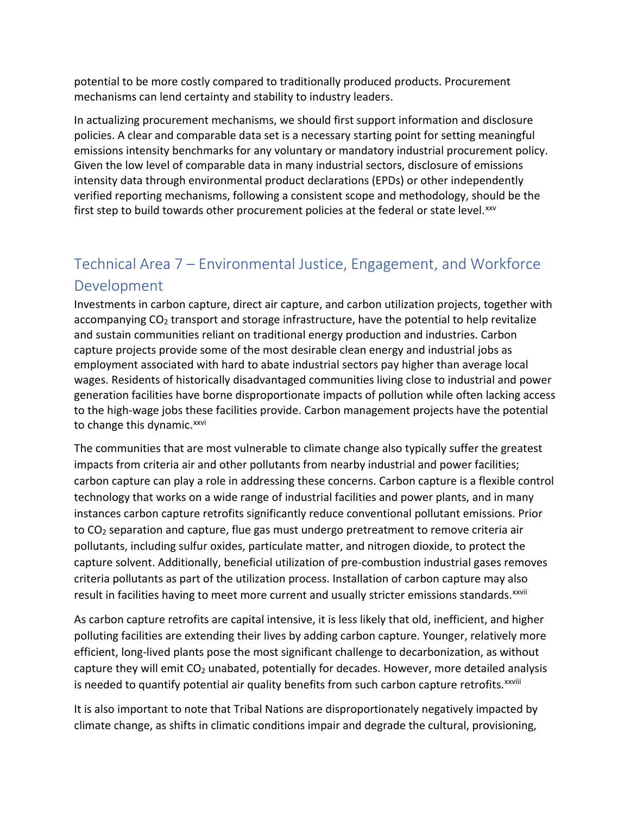potential to be more costly compared to traditionally produced products. Procurement mechanisms can lend certainty and stability to industry leaders.

In actualizing procurement mechanisms, we should first support information and disclosure policies. A clear and comparable data set is a necessary starting point for setting meaningful emissions intensity benchmarks for any voluntary or mandatory industrial procurement policy. Given the low level of comparable data in many industrial sectors, disclosure of emissions intensity data through environmental product declarations (EPDs) or other independently verified reporting mechanisms, following a consistent scope and methodology, should be the first step to build towards other procurement policies at the federal or state level. [xxv](#page-11-8)

## Technical Area 7 – Environmental Justice, Engagement, and Workforce Development

Investments in carbon capture, direct air capture, and carbon utilization projects, together with accompanying CO<sub>2</sub> transport and storage infrastructure, have the potential to help revitalize and sustain communities reliant on traditional energy production and industries. Carbon capture projects provide some of the most desirable clean energy and industrial jobs as employment associated with hard to abate industrial sectors pay higher than average local wages. Residents of historically disadvantaged communities living close to industrial and power generation facilities have borne disproportionate impacts of pollution while often lacking access to the high-wage jobs these facilities provide. Carbon management projects have the potential to change this dynamic.<sup>[xxvi](#page-11-9)</sup>

The communities that are most vulnerable to climate change also typically suffer the greatest impacts from criteria air and other pollutants from nearby industrial and power facilities; carbon capture can play a role in addressing these concerns. Carbon capture is a flexible control technology that works on a wide range of industrial facilities and power plants, and in many instances carbon capture retrofits significantly reduce conventional pollutant emissions. Prior to CO<sub>2</sub> separation and capture, flue gas must undergo pretreatment to remove criteria air pollutants, including sulfur oxides, particulate matter, and nitrogen dioxide, to protect the capture solvent. Additionally, beneficial utilization of pre-combustion industrial gases removes criteria pollutants as part of the utilization process. Installation of carbon capture may also result in facilities having to meet more current and usually stricter emissions standards. XXVII

As carbon capture retrofits are capital intensive, it is less likely that old, inefficient, and higher polluting facilities are extending their lives by adding carbon capture. Younger, relatively more efficient, long-lived plants pose the most significant challenge to decarbonization, as without capture they will emit  $CO<sub>2</sub>$  unabated, potentially for decades. However, more detailed analysis is needed to quantify potential air quality benefits from such carbon capture retrofits.<sup>xxviii</sup>

It is also important to note that Tribal Nations are disproportionately negatively impacted by climate change, as shifts in climatic conditions impair and degrade the cultural, provisioning,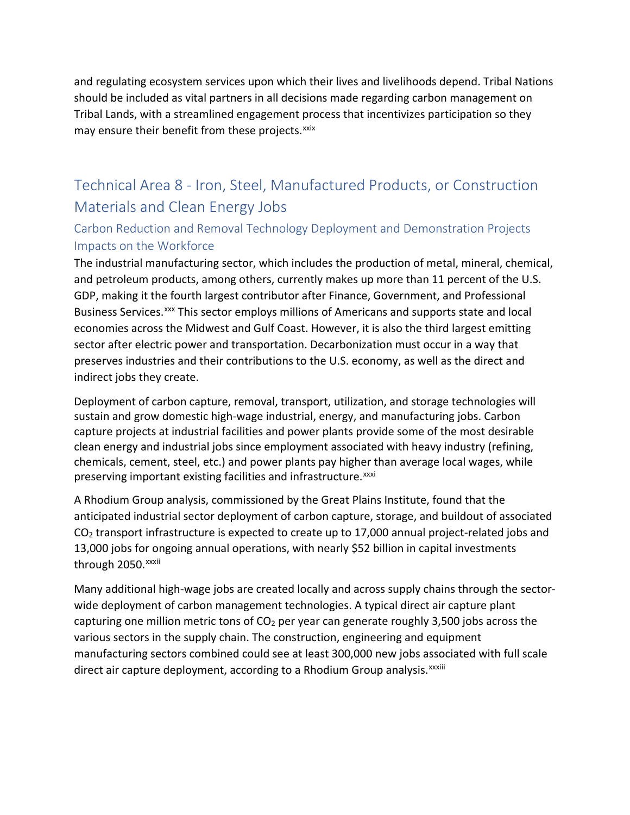and regulating ecosystem services upon which their lives and livelihoods depend. Tribal Nations should be included as vital partners in all decisions made regarding carbon management on Tribal Lands, with a streamlined engagement process that incentivizes participation so they may ensure their benefit from these projects.<sup>[xxix](#page-11-10)</sup>

## Technical Area 8 - Iron, Steel, Manufactured Products, or Construction Materials and Clean Energy Jobs

### Carbon Reduction and Removal Technology Deployment and Demonstration Projects Impacts on the Workforce

The industrial manufacturing sector, which includes the production of metal, mineral, chemical, and petroleum products, among others, currently makes up more than 11 percent of the U.S. GDP, making it the fourth largest contributor after Finance, Government, and Professional Business Services.<sup>[xxx](#page-11-11)</sup> This sector employs millions of Americans and supports state and local economies across the Midwest and Gulf Coast. However, it is also the third largest emitting sector after electric power and transportation. Decarbonization must occur in a way that preserves industries and their contributions to the U.S. economy, as well as the direct and indirect jobs they create.

Deployment of carbon capture, removal, transport, utilization, and storage technologies will sustain and grow domestic high-wage industrial, energy, and manufacturing jobs. Carbon capture projects at industrial facilities and power plants provide some of the most desirable clean energy and industrial jobs since employment associated with heavy industry (refining, chemicals, cement, steel, etc.) and power plants pay higher than average local wages, while preserving important existing facilities and infrastructure. XXXI

A Rhodium Group analysis, commissioned by the Great Plains Institute, found that the anticipated industrial sector deployment of carbon capture, storage, and buildout of associated CO<sub>2</sub> transport infrastructure is expected to create up to 17,000 annual project-related jobs and 13,000 jobs for ongoing annual operations, with nearly \$52 billion in capital investments through 2050.<sup>xxxii</sup>

Many additional high-wage jobs are created locally and across supply chains through the sectorwide deployment of carbon management technologies. A typical direct air capture plant capturing one million metric tons of  $CO<sub>2</sub>$  per year can generate roughly 3,500 jobs across the various sectors in the supply chain. The construction, engineering and equipment manufacturing sectors combined could see at least 300,000 new jobs associated with full scale direct air capture deployment, according to a Rhodium Group analysis. xxxiii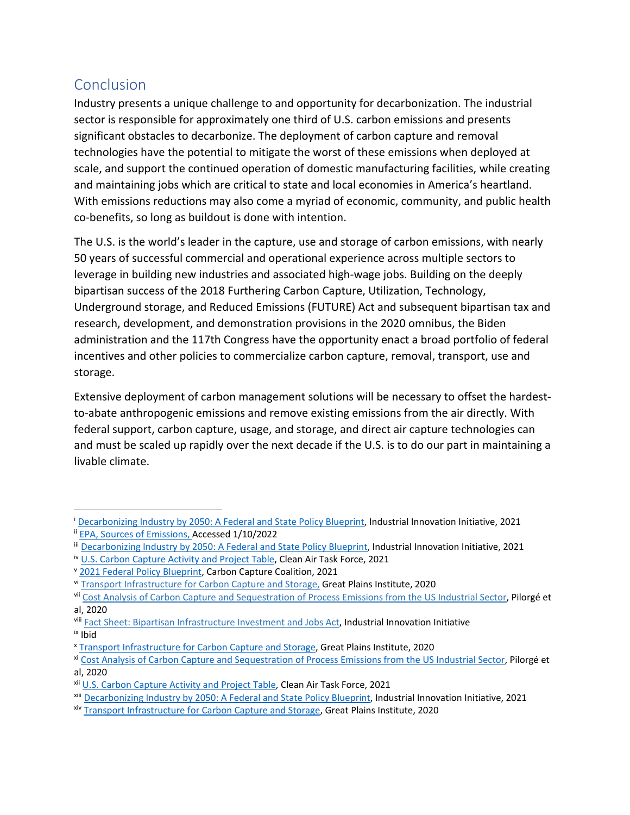## **Conclusion**

Industry presents a unique challenge to and opportunity for decarbonization. The industrial sector is responsible for approximately one third of U.S. carbon emissions and presents significant obstacles to decarbonize. The deployment of carbon capture and removal technologies have the potential to mitigate the worst of these emissions when deployed at scale, and support the continued operation of domestic manufacturing facilities, while creating and maintaining jobs which are critical to state and local economies in America's heartland. With emissions reductions may also come a myriad of economic, community, and public health co-benefits, so long as buildout is done with intention.

The U.S. is the world's leader in the capture, use and storage of carbon emissions, with nearly 50 years of successful commercial and operational experience across multiple sectors to leverage in building new industries and associated high-wage jobs. Building on the deeply bipartisan success of the 2018 Furthering Carbon Capture, Utilization, Technology, Underground storage, and Reduced Emissions (FUTURE) Act and subsequent bipartisan tax and research, development, and demonstration provisions in the 2020 omnibus, the Biden administration and the 117th Congress have the opportunity enact a broad portfolio of federal incentives and other policies to commercialize carbon capture, removal, transport, use and storage.

Extensive deployment of carbon management solutions will be necessary to offset the hardestto-abate anthropogenic emissions and remove existing emissions from the air directly. With federal support, carbon capture, usage, and storage, and direct air capture technologies can and must be scaled up rapidly over the next decade if the U.S. is to do our part in maintaining a livable climate.

<span id="page-10-0"></span><sup>&</sup>lt;sup>i</sup> [Decarbonizing Industry by 2050: A Federal and State Policy Blueprint,](https://www.industrialinnovation.org/blueprint) Industrial Innovation Initiative, 2021

<span id="page-10-1"></span>ii [EPA, Sources of Emissions,](https://www.epa.gov/ghgemissions/sources-greenhouse-gas-emissions) Accessed 1/10/2022

<span id="page-10-2"></span>iii [Decarbonizing Industry by 2050: A Federal and State Policy Blueprint,](https://www.industrialinnovation.org/blueprint) Industrial Innovation Initiative, 2021

<span id="page-10-3"></span>iv [U.S. Carbon Capture Activity and Project Table,](https://www.catf.us/ccstableus/) Clean Air Task Force, 2021

<span id="page-10-4"></span><sup>v</sup> [2021 Federal Policy Blueprint,](https://carboncapturecoalition.org/wp-content/uploads/2021/02/2021_Blueprint.pdf) Carbon Capture Coalition, 2021

<span id="page-10-5"></span>vi [Transport Infrastructure for Carbon Capture and Storage,](https://www.betterenergy.org/wp-content/uploads/2020/06/GPI_RegionalCO2Whitepaper.pdf) Great Plains Institute, 2020

<span id="page-10-6"></span>vii [Cost Analysis of Carbon Capture and Sequestration of Process Emissions from the US Industrial Sector,](https://pubs.acs.org/doi/abs/10.1021/acs.est.9b07930) Pilorgé et al, 2020

<span id="page-10-8"></span><span id="page-10-7"></span>viii [Fact Sheet: Bipartisan Infrastructure Investment and Jobs Act,](https://carboncapturecoalition.org/wp-content/uploads/2021/11/Infrastructure-bill_GPI-CM-fact-sheet_final-1.pdf) Industrial Innovation Initiative ix Ibid

<span id="page-10-9"></span><sup>x</sup> [Transport Infrastructure for Carbon Capture and Storage,](https://www.betterenergy.org/wp-content/uploads/2020/06/GPI_RegionalCO2Whitepaper.pdf) Great Plains Institute, 2020

<span id="page-10-10"></span>xi [Cost Analysis of Carbon Capture and Sequestration of Process Emissions from the US Industrial Sector,](https://pubs.acs.org/doi/abs/10.1021/acs.est.9b07930) Pilorgé et al, 2020

<span id="page-10-11"></span>xii [U.S. Carbon Capture Activity and Project Table,](https://www.catf.us/ccstableus/) Clean Air Task Force, 2021

<span id="page-10-12"></span>xiii [Decarbonizing Industry by 2050: A Federal and State Policy Blueprint,](https://www.industrialinnovation.org/blueprint) Industrial Innovation Initiative, 2021

<span id="page-10-13"></span>xiv [Transport Infrastructure for Carbon Capture and Storage,](https://www.betterenergy.org/wp-content/uploads/2020/06/GPI_RegionalCO2Whitepaper.pdf) Great Plains Institute, 2020